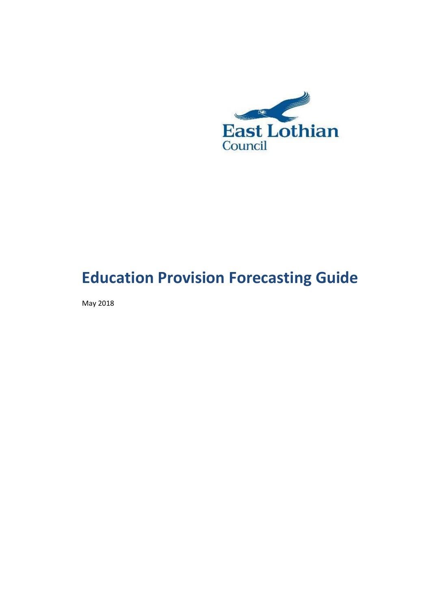

# **Education Provision Forecasting Guide**

May 2018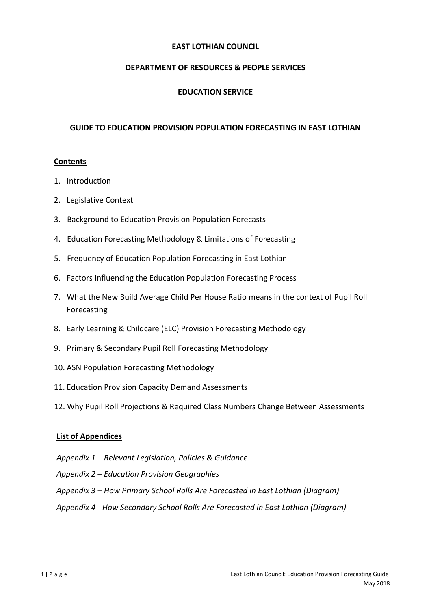#### **EAST LOTHIAN COUNCIL**

#### **DEPARTMENT OF RESOURCES & PEOPLE SERVICES**

#### **EDUCATION SERVICE**

#### **GUIDE TO EDUCATION PROVISION POPULATION FORECASTING IN EAST LOTHIAN**

#### **Contents**

- 1. Introduction
- 2. Legislative Context
- 3. Background to Education Provision Population Forecasts
- 4. Education Forecasting Methodology & Limitations of Forecasting
- 5. Frequency of Education Population Forecasting in East Lothian
- 6. Factors Influencing the Education Population Forecasting Process
- 7. What the New Build Average Child Per House Ratio means in the context of Pupil Roll Forecasting
- 8. Early Learning & Childcare (ELC) Provision Forecasting Methodology
- 9. Primary & Secondary Pupil Roll Forecasting Methodology
- 10. ASN Population Forecasting Methodology
- 11. Education Provision Capacity Demand Assessments
- 12. Why Pupil Roll Projections & Required Class Numbers Change Between Assessments

#### **List of Appendices**

- *Appendix 1 – Relevant Legislation, Policies & Guidance*
- *Appendix 2 – Education Provision Geographies*
- *Appendix 3 – How Primary School Rolls Are Forecasted in East Lothian (Diagram)*
- *Appendix 4 - How Secondary School Rolls Are Forecasted in East Lothian (Diagram)*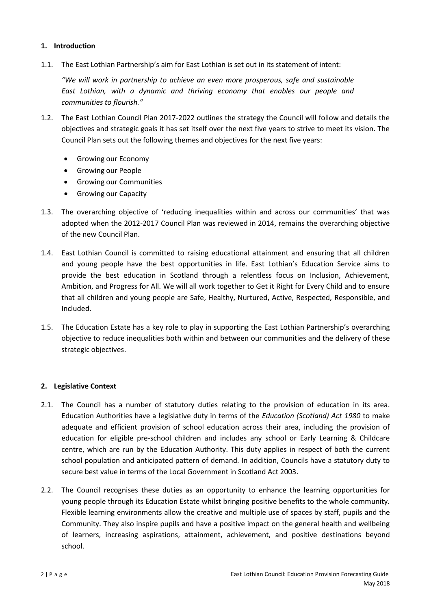#### **1. Introduction**

1.1. The East Lothian Partnership's aim for East Lothian is set out in its statement of intent:

*"We will work in partnership to achieve an even more prosperous, safe and sustainable East Lothian, with a dynamic and thriving economy that enables our people and communities to flourish."*

- 1.2. The East Lothian Council Plan 2017-2022 outlines the strategy the Council will follow and details the objectives and strategic goals it has set itself over the next five years to strive to meet its vision. The Council Plan sets out the following themes and objectives for the next five years:
	- Growing our Economy
	- Growing our People
	- Growing our Communities
	- **•** Growing our Capacity
- 1.3. The overarching objective of 'reducing inequalities within and across our communities' that was adopted when the 2012-2017 Council Plan was reviewed in 2014, remains the overarching objective of the new Council Plan.
- 1.4. East Lothian Council is committed to raising educational attainment and ensuring that all children and young people have the best opportunities in life. East Lothian's Education Service aims to provide the best education in Scotland through a relentless focus on Inclusion, Achievement, Ambition, and Progress for All. We will all work together to Get it Right for Every Child and to ensure that all children and young people are Safe, Healthy, Nurtured, Active, Respected, Responsible, and Included.
- 1.5. The Education Estate has a key role to play in supporting the East Lothian Partnership's overarching objective to reduce inequalities both within and between our communities and the delivery of these strategic objectives.

#### **2. Legislative Context**

- 2.1. The Council has a number of statutory duties relating to the provision of education in its area. Education Authorities have a legislative duty in terms of the *Education (Scotland) Act 1980* to make adequate and efficient provision of school education across their area, including the provision of education for eligible pre-school children and includes any school or Early Learning & Childcare centre, which are run by the Education Authority. This duty applies in respect of both the current school population and anticipated pattern of demand. In addition, Councils have a statutory duty to secure best value in terms of the Local Government in Scotland Act 2003.
- 2.2. The Council recognises these duties as an opportunity to enhance the learning opportunities for young people through its Education Estate whilst bringing positive benefits to the whole community. Flexible learning environments allow the creative and multiple use of spaces by staff, pupils and the Community. They also inspire pupils and have a positive impact on the general health and wellbeing of learners, increasing aspirations, attainment, achievement, and positive destinations beyond school.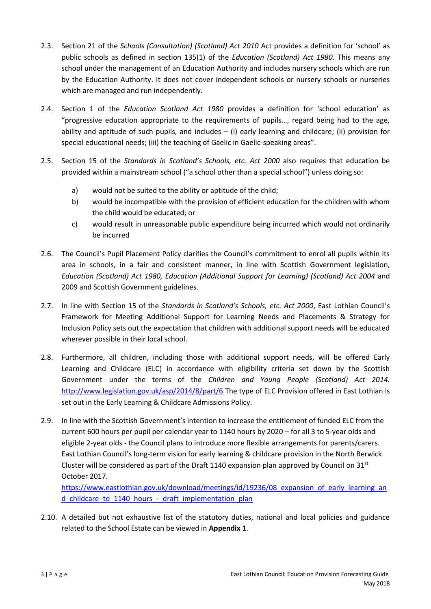- 2.3. Section 21 of the *Schools (Consultation) (Scotland) Act 2010* Act provides a definition for 'school' as public schools as defined in section 135(1) of the *Education (Scotland) Act 1980*. This means any school under the management of an Education Authority and includes nursery schools which are run by the Education Authority. It does not cover independent schools or nursery schools or nurseries which are managed and run independently.
- 2.4. Section 1 of the *Education Scotland Act 1980* provides a definition for 'school education' as "progressive education appropriate to the requirements of pupils…, regard being had to the age, ability and aptitude of such pupils, and includes – (i) early learning and childcare; (ii) provision for special educational needs; (iii) the teaching of Gaelic in Gaelic-speaking areas".
- 2.5. Section 15 of the *Standards in Scotland's Schools, etc. Act 2000* also requires that education be provided within a mainstream school ("a school other than a special school") unless doing so:
	- a) would not be suited to the ability or aptitude of the child;
	- b) would be incompatible with the provision of efficient education for the children with whom the child would be educated; or
	- c) would result in unreasonable public expenditure being incurred which would not ordinarily be incurred
- 2.6. The Council's Pupil Placement Policy clarifies the Council's commitment to enrol all pupils within its area in schools, in a fair and consistent manner, in line with Scottish Government legislation, *Education (Scotland) Act 1980, Education (Additional Support for Learning) (Scotland) Act 2004* and 2009 and Scottish Government guidelines.
- 2.7. In line with Section 15 of the *Standards in Scotland's Schools, etc. Act 2000*, East Lothian Council's Framework for Meeting Additional Support for Learning Needs and Placements & Strategy for Inclusion Policy sets out the expectation that children with additional support needs will be educated wherever possible in their local school.
- 2.8. Furthermore, all children, including those with additional support needs, will be offered Early Learning and Childcare (ELC) in accordance with eligibility criteria set down by the Scottish Government under the terms of the *Children and Young People (Scotland) Act 2014.* <http://www.legislation.gov.uk/asp/2014/8/part/6> The type of ELC Provision offered in East Lothian is set out in the Early Learning & Childcare Admissions Policy.
- 2.9. In line with the Scottish Government's intention to increase the entitlement of funded ELC from the current 600 hours per pupil per calendar year to 1140 hours by 2020 – for all 3 to 5-year olds and eligible 2-year olds - the Council plans to introduce more flexible arrangements for parents/carers. East Lothian Council's long-term vision for early learning & childcare provision in the North Berwick Cluster will be considered as part of the Draft 1140 expansion plan approved by Council on  $31<sup>st</sup>$ October 2017.

https://www.eastlothian.gov.uk/download/meetings/id/19236/08 expansion of early learning an d childcare to 1140 hours - draft implementation plan

2.10. A detailed but not exhaustive list of the statutory duties, national and local policies and guidance related to the School Estate can be viewed in **Appendix 1**.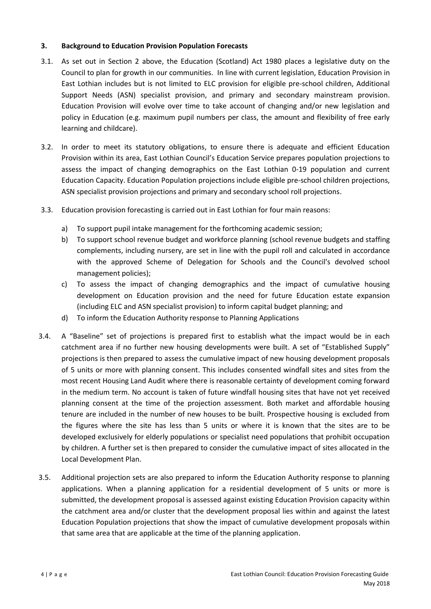#### **3. Background to Education Provision Population Forecasts**

- 3.1. As set out in Section 2 above, the Education (Scotland) Act 1980 places a legislative duty on the Council to plan for growth in our communities. In line with current legislation, Education Provision in East Lothian includes but is not limited to ELC provision for eligible pre-school children, Additional Support Needs (ASN) specialist provision, and primary and secondary mainstream provision. Education Provision will evolve over time to take account of changing and/or new legislation and policy in Education (e.g. maximum pupil numbers per class, the amount and flexibility of free early learning and childcare).
- 3.2. In order to meet its statutory obligations, to ensure there is adequate and efficient Education Provision within its area, East Lothian Council's Education Service prepares population projections to assess the impact of changing demographics on the East Lothian 0-19 population and current Education Capacity. Education Population projections include eligible pre-school children projections, ASN specialist provision projections and primary and secondary school roll projections.
- 3.3. Education provision forecasting is carried out in East Lothian for four main reasons:
	- a) To support pupil intake management for the forthcoming academic session;
	- b) To support school revenue budget and workforce planning (school revenue budgets and staffing complements, including nursery, are set in line with the pupil roll and calculated in accordance with the approved Scheme of Delegation for Schools and the Council's devolved school management policies);
	- c) To assess the impact of changing demographics and the impact of cumulative housing development on Education provision and the need for future Education estate expansion (including ELC and ASN specialist provision) to inform capital budget planning; and
	- d) To inform the Education Authority response to Planning Applications
- 3.4. A "Baseline" set of projections is prepared first to establish what the impact would be in each catchment area if no further new housing developments were built. A set of "Established Supply" projections is then prepared to assess the cumulative impact of new housing development proposals of 5 units or more with planning consent. This includes consented windfall sites and sites from the most recent Housing Land Audit where there is reasonable certainty of development coming forward in the medium term. No account is taken of future windfall housing sites that have not yet received planning consent at the time of the projection assessment. Both market and affordable housing tenure are included in the number of new houses to be built. Prospective housing is excluded from the figures where the site has less than 5 units or where it is known that the sites are to be developed exclusively for elderly populations or specialist need populations that prohibit occupation by children. A further set is then prepared to consider the cumulative impact of sites allocated in the Local Development Plan.
- 3.5. Additional projection sets are also prepared to inform the Education Authority response to planning applications. When a planning application for a residential development of 5 units or more is submitted, the development proposal is assessed against existing Education Provision capacity within the catchment area and/or cluster that the development proposal lies within and against the latest Education Population projections that show the impact of cumulative development proposals within that same area that are applicable at the time of the planning application.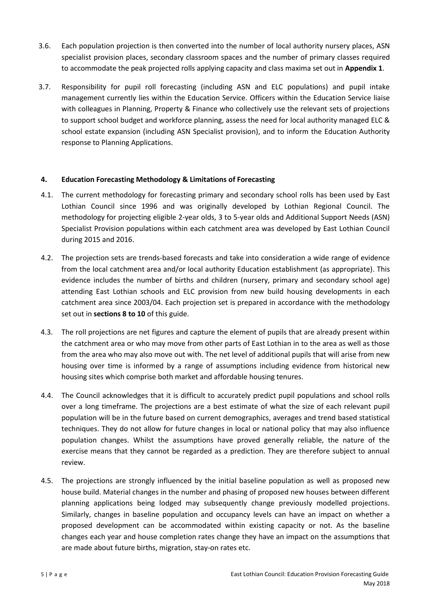- 3.6. Each population projection is then converted into the number of local authority nursery places, ASN specialist provision places, secondary classroom spaces and the number of primary classes required to accommodate the peak projected rolls applying capacity and class maxima set out in **Appendix 1**.
- 3.7. Responsibility for pupil roll forecasting (including ASN and ELC populations) and pupil intake management currently lies within the Education Service. Officers within the Education Service liaise with colleagues in Planning, Property & Finance who collectively use the relevant sets of projections to support school budget and workforce planning, assess the need for local authority managed ELC & school estate expansion (including ASN Specialist provision), and to inform the Education Authority response to Planning Applications.

#### **4. Education Forecasting Methodology & Limitations of Forecasting**

- 4.1. The current methodology for forecasting primary and secondary school rolls has been used by East Lothian Council since 1996 and was originally developed by Lothian Regional Council. The methodology for projecting eligible 2-year olds, 3 to 5-year olds and Additional Support Needs (ASN) Specialist Provision populations within each catchment area was developed by East Lothian Council during 2015 and 2016.
- 4.2. The projection sets are trends-based forecasts and take into consideration a wide range of evidence from the local catchment area and/or local authority Education establishment (as appropriate). This evidence includes the number of births and children (nursery, primary and secondary school age) attending East Lothian schools and ELC provision from new build housing developments in each catchment area since 2003/04. Each projection set is prepared in accordance with the methodology set out in **sections 8 to 10** of this guide.
- 4.3. The roll projections are net figures and capture the element of pupils that are already present within the catchment area or who may move from other parts of East Lothian in to the area as well as those from the area who may also move out with. The net level of additional pupils that will arise from new housing over time is informed by a range of assumptions including evidence from historical new housing sites which comprise both market and affordable housing tenures.
- 4.4. The Council acknowledges that it is difficult to accurately predict pupil populations and school rolls over a long timeframe. The projections are a best estimate of what the size of each relevant pupil population will be in the future based on current demographics, averages and trend based statistical techniques. They do not allow for future changes in local or national policy that may also influence population changes. Whilst the assumptions have proved generally reliable, the nature of the exercise means that they cannot be regarded as a prediction. They are therefore subject to annual review.
- 4.5. The projections are strongly influenced by the initial baseline population as well as proposed new house build. Material changes in the number and phasing of proposed new houses between different planning applications being lodged may subsequently change previously modelled projections. Similarly, changes in baseline population and occupancy levels can have an impact on whether a proposed development can be accommodated within existing capacity or not. As the baseline changes each year and house completion rates change they have an impact on the assumptions that are made about future births, migration, stay-on rates etc.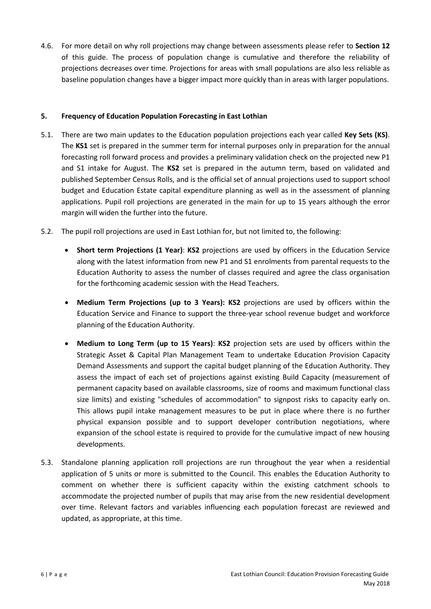4.6. For more detail on why roll projections may change between assessments please refer to **Section 12** of this guide. The process of population change is cumulative and therefore the reliability of projections decreases over time. Projections for areas with small populations are also less reliable as baseline population changes have a bigger impact more quickly than in areas with larger populations.

#### **5. Frequency of Education Population Forecasting in East Lothian**

- 5.1. There are two main updates to the Education population projections each year called **Key Sets (KS)**. The **KS1** set is prepared in the summer term for internal purposes only in preparation for the annual forecasting roll forward process and provides a preliminary validation check on the projected new P1 and S1 intake for August. The **KS2** set is prepared in the autumn term, based on validated and published September Census Rolls, and is the official set of annual projections used to support school budget and Education Estate capital expenditure planning as well as in the assessment of planning applications. Pupil roll projections are generated in the main for up to 15 years although the error margin will widen the further into the future.
- 5.2. The pupil roll projections are used in East Lothian for, but not limited to, the following:
	- **Short term Projections (1 Year)**: **KS2** projections are used by officers in the Education Service along with the latest information from new P1 and S1 enrolments from parental requests to the Education Authority to assess the number of classes required and agree the class organisation for the forthcoming academic session with the Head Teachers.
	- **Medium Term Projections (up to 3 Years): KS2** projections are used by officers within the Education Service and Finance to support the three-year school revenue budget and workforce planning of the Education Authority.
	- **Medium to Long Term (up to 15 Years)**: **KS2** projection sets are used by officers within the Strategic Asset & Capital Plan Management Team to undertake Education Provision Capacity Demand Assessments and support the capital budget planning of the Education Authority. They assess the impact of each set of projections against existing Build Capacity (measurement of permanent capacity based on available classrooms, size of rooms and maximum functional class size limits) and existing "schedules of accommodation" to signpost risks to capacity early on. This allows pupil intake management measures to be put in place where there is no further physical expansion possible and to support developer contribution negotiations, where expansion of the school estate is required to provide for the cumulative impact of new housing developments.
- 5.3. Standalone planning application roll projections are run throughout the year when a residential application of 5 units or more is submitted to the Council. This enables the Education Authority to comment on whether there is sufficient capacity within the existing catchment schools to accommodate the projected number of pupils that may arise from the new residential development over time. Relevant factors and variables influencing each population forecast are reviewed and updated, as appropriate, at this time.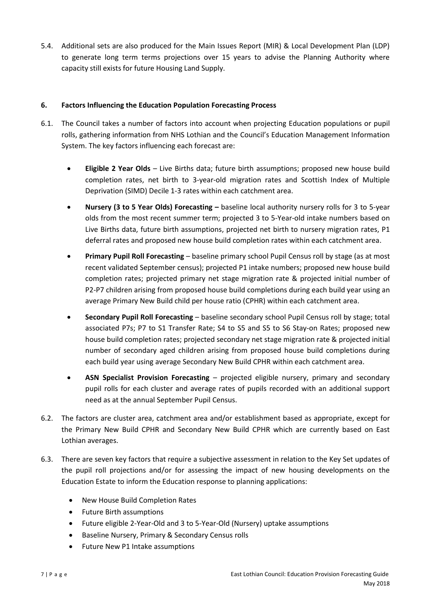5.4. Additional sets are also produced for the Main Issues Report (MIR) & Local Development Plan (LDP) to generate long term terms projections over 15 years to advise the Planning Authority where capacity still exists for future Housing Land Supply.

#### **6. Factors Influencing the Education Population Forecasting Process**

- 6.1. The Council takes a number of factors into account when projecting Education populations or pupil rolls, gathering information from NHS Lothian and the Council's Education Management Information System. The key factors influencing each forecast are:
	- **Eligible 2 Year Olds** Live Births data; future birth assumptions; proposed new house build completion rates, net birth to 3-year-old migration rates and Scottish Index of Multiple Deprivation (SIMD) Decile 1-3 rates within each catchment area.
	- **Nursery (3 to 5 Year Olds) Forecasting –** baseline local authority nursery rolls for 3 to 5-year olds from the most recent summer term; projected 3 to 5-Year-old intake numbers based on Live Births data, future birth assumptions, projected net birth to nursery migration rates, P1 deferral rates and proposed new house build completion rates within each catchment area.
	- **Primary Pupil Roll Forecasting** baseline primary school Pupil Census roll by stage (as at most recent validated September census); projected P1 intake numbers; proposed new house build completion rates; projected primary net stage migration rate & projected initial number of P2-P7 children arising from proposed house build completions during each build year using an average Primary New Build child per house ratio (CPHR) within each catchment area.
	- **Secondary Pupil Roll Forecasting** baseline secondary school Pupil Census roll by stage; total associated P7s; P7 to S1 Transfer Rate; S4 to S5 and S5 to S6 Stay-on Rates; proposed new house build completion rates; projected secondary net stage migration rate & projected initial number of secondary aged children arising from proposed house build completions during each build year using average Secondary New Build CPHR within each catchment area.
	- **ASN Specialist Provision Forecasting** projected eligible nursery, primary and secondary pupil rolls for each cluster and average rates of pupils recorded with an additional support need as at the annual September Pupil Census.
- 6.2. The factors are cluster area, catchment area and/or establishment based as appropriate, except for the Primary New Build CPHR and Secondary New Build CPHR which are currently based on East Lothian averages.
- 6.3. There are seven key factors that require a subjective assessment in relation to the Key Set updates of the pupil roll projections and/or for assessing the impact of new housing developments on the Education Estate to inform the Education response to planning applications:
	- New House Build Completion Rates
	- Future Birth assumptions
	- Future eligible 2-Year-Old and 3 to 5-Year-Old (Nursery) uptake assumptions
	- Baseline Nursery, Primary & Secondary Census rolls
	- Future New P1 Intake assumptions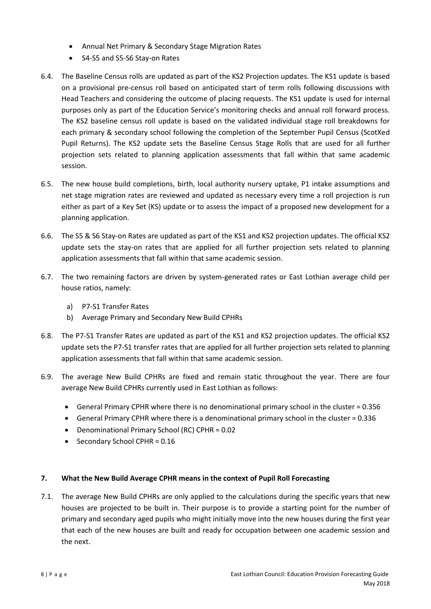- Annual Net Primary & Secondary Stage Migration Rates
- S4-S5 and S5-S6 Stay-on Rates
- 6.4. The Baseline Census rolls are updated as part of the KS2 Projection updates. The KS1 update is based on a provisional pre-census roll based on anticipated start of term rolls following discussions with Head Teachers and considering the outcome of placing requests. The KS1 update is used for internal purposes only as part of the Education Service's monitoring checks and annual roll forward process. The KS2 baseline census roll update is based on the validated individual stage roll breakdowns for each primary & secondary school following the completion of the September Pupil Census (ScotXed Pupil Returns). The KS2 update sets the Baseline Census Stage Rolls that are used for all further projection sets related to planning application assessments that fall within that same academic session.
- 6.5. The new house build completions, birth, local authority nursery uptake, P1 intake assumptions and net stage migration rates are reviewed and updated as necessary every time a roll projection is run either as part of a Key Set (KS) update or to assess the impact of a proposed new development for a planning application.
- 6.6. The S5 & S6 Stay-on Rates are updated as part of the KS1 and KS2 projection updates. The official KS2 update sets the stay-on rates that are applied for all further projection sets related to planning application assessments that fall within that same academic session.
- 6.7. The two remaining factors are driven by system-generated rates or East Lothian average child per house ratios, namely:
	- a) P7-S1 Transfer Rates
	- b) Average Primary and Secondary New Build CPHRs
- 6.8. The P7-S1 Transfer Rates are updated as part of the KS1 and KS2 projection updates. The official KS2 update sets the P7-S1 transfer rates that are applied for all further projection sets related to planning application assessments that fall within that same academic session.
- 6.9. The average New Build CPHRs are fixed and remain static throughout the year. There are four average New Build CPHRs currently used in East Lothian as follows:
	- General Primary CPHR where there is no denominational primary school in the cluster = 0.356
	- General Primary CPHR where there is a denominational primary school in the cluster = 0.336
	- Denominational Primary School (RC) CPHR = 0.02
	- Secondary School CPHR = 0.16

#### **7. What the New Build Average CPHR means in the context of Pupil Roll Forecasting**

7.1. The average New Build CPHRs are only applied to the calculations during the specific years that new houses are projected to be built in. Their purpose is to provide a starting point for the number of primary and secondary aged pupils who might initially move into the new houses during the first year that each of the new houses are built and ready for occupation between one academic session and the next.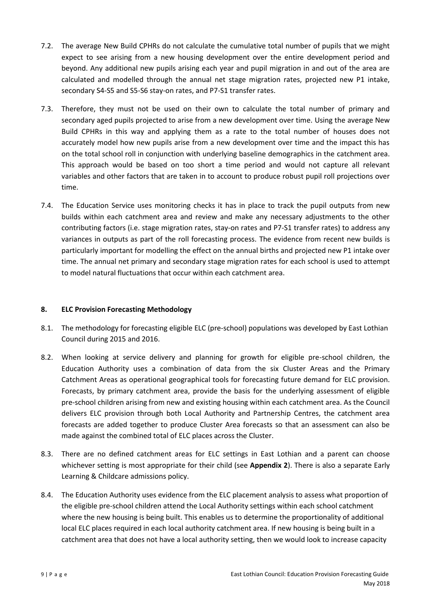- 7.2. The average New Build CPHRs do not calculate the cumulative total number of pupils that we might expect to see arising from a new housing development over the entire development period and beyond. Any additional new pupils arising each year and pupil migration in and out of the area are calculated and modelled through the annual net stage migration rates, projected new P1 intake, secondary S4-S5 and S5-S6 stay-on rates, and P7-S1 transfer rates.
- 7.3. Therefore, they must not be used on their own to calculate the total number of primary and secondary aged pupils projected to arise from a new development over time. Using the average New Build CPHRs in this way and applying them as a rate to the total number of houses does not accurately model how new pupils arise from a new development over time and the impact this has on the total school roll in conjunction with underlying baseline demographics in the catchment area. This approach would be based on too short a time period and would not capture all relevant variables and other factors that are taken in to account to produce robust pupil roll projections over time.
- 7.4. The Education Service uses monitoring checks it has in place to track the pupil outputs from new builds within each catchment area and review and make any necessary adjustments to the other contributing factors (i.e. stage migration rates, stay-on rates and P7-S1 transfer rates) to address any variances in outputs as part of the roll forecasting process. The evidence from recent new builds is particularly important for modelling the effect on the annual births and projected new P1 intake over time. The annual net primary and secondary stage migration rates for each school is used to attempt to model natural fluctuations that occur within each catchment area.

#### **8. ELC Provision Forecasting Methodology**

- 8.1. The methodology for forecasting eligible ELC (pre-school) populations was developed by East Lothian Council during 2015 and 2016.
- 8.2. When looking at service delivery and planning for growth for eligible pre-school children, the Education Authority uses a combination of data from the six Cluster Areas and the Primary Catchment Areas as operational geographical tools for forecasting future demand for ELC provision. Forecasts, by primary catchment area, provide the basis for the underlying assessment of eligible pre-school children arising from new and existing housing within each catchment area. As the Council delivers ELC provision through both Local Authority and Partnership Centres, the catchment area forecasts are added together to produce Cluster Area forecasts so that an assessment can also be made against the combined total of ELC places across the Cluster.
- 8.3. There are no defined catchment areas for ELC settings in East Lothian and a parent can choose whichever setting is most appropriate for their child (see **Appendix 2**). There is also a separate Early Learning & Childcare admissions policy.
- 8.4. The Education Authority uses evidence from the ELC placement analysis to assess what proportion of the eligible pre-school children attend the Local Authority settings within each school catchment where the new housing is being built. This enables us to determine the proportionality of additional local ELC places required in each local authority catchment area. If new housing is being built in a catchment area that does not have a local authority setting, then we would look to increase capacity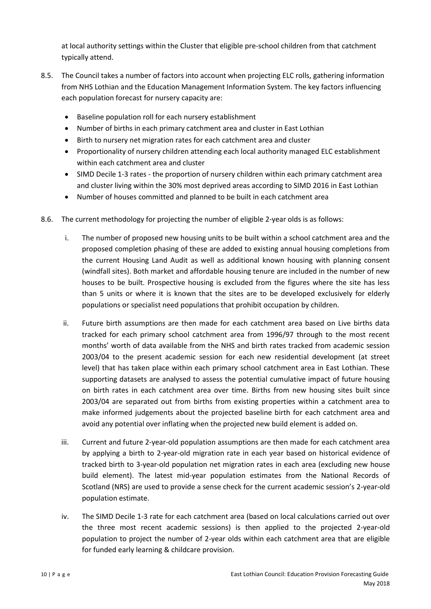at local authority settings within the Cluster that eligible pre-school children from that catchment typically attend.

- 8.5. The Council takes a number of factors into account when projecting ELC rolls, gathering information from NHS Lothian and the Education Management Information System. The key factors influencing each population forecast for nursery capacity are:
	- Baseline population roll for each nursery establishment
	- Number of births in each primary catchment area and cluster in East Lothian
	- Birth to nursery net migration rates for each catchment area and cluster
	- Proportionality of nursery children attending each local authority managed ELC establishment within each catchment area and cluster
	- SIMD Decile 1-3 rates the proportion of nursery children within each primary catchment area and cluster living within the 30% most deprived areas according to SIMD 2016 in East Lothian
	- Number of houses committed and planned to be built in each catchment area
- 8.6. The current methodology for projecting the number of eligible 2-year olds is as follows:
	- i. The number of proposed new housing units to be built within a school catchment area and the proposed completion phasing of these are added to existing annual housing completions from the current Housing Land Audit as well as additional known housing with planning consent (windfall sites). Both market and affordable housing tenure are included in the number of new houses to be built. Prospective housing is excluded from the figures where the site has less than 5 units or where it is known that the sites are to be developed exclusively for elderly populations or specialist need populations that prohibit occupation by children.
	- ii. Future birth assumptions are then made for each catchment area based on Live births data tracked for each primary school catchment area from 1996/97 through to the most recent months' worth of data available from the NHS and birth rates tracked from academic session 2003/04 to the present academic session for each new residential development (at street level) that has taken place within each primary school catchment area in East Lothian. These supporting datasets are analysed to assess the potential cumulative impact of future housing on birth rates in each catchment area over time. Births from new housing sites built since 2003/04 are separated out from births from existing properties within a catchment area to make informed judgements about the projected baseline birth for each catchment area and avoid any potential over inflating when the projected new build element is added on.
	- iii. Current and future 2-year-old population assumptions are then made for each catchment area by applying a birth to 2-year-old migration rate in each year based on historical evidence of tracked birth to 3-year-old population net migration rates in each area (excluding new house build element). The latest mid-year population estimates from the National Records of Scotland (NRS) are used to provide a sense check for the current academic session's 2-year-old population estimate.
	- iv. The SIMD Decile 1-3 rate for each catchment area (based on local calculations carried out over the three most recent academic sessions) is then applied to the projected 2-year-old population to project the number of 2-year olds within each catchment area that are eligible for funded early learning & childcare provision.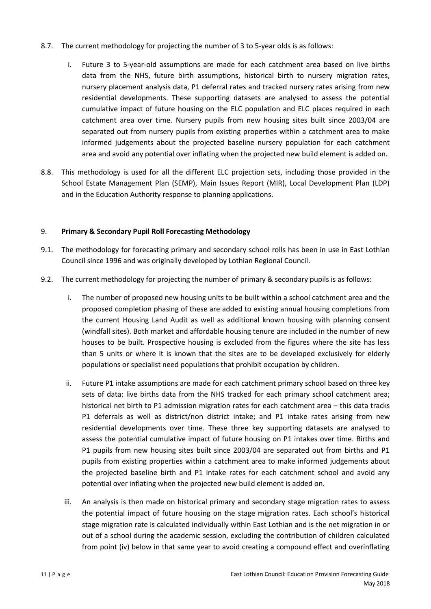- 8.7. The current methodology for projecting the number of 3 to 5-year olds is as follows:
	- i. Future 3 to 5-year-old assumptions are made for each catchment area based on live births data from the NHS, future birth assumptions, historical birth to nursery migration rates, nursery placement analysis data, P1 deferral rates and tracked nursery rates arising from new residential developments. These supporting datasets are analysed to assess the potential cumulative impact of future housing on the ELC population and ELC places required in each catchment area over time. Nursery pupils from new housing sites built since 2003/04 are separated out from nursery pupils from existing properties within a catchment area to make informed judgements about the projected baseline nursery population for each catchment area and avoid any potential over inflating when the projected new build element is added on.
- 8.8. This methodology is used for all the different ELC projection sets, including those provided in the School Estate Management Plan (SEMP), Main Issues Report (MIR), Local Development Plan (LDP) and in the Education Authority response to planning applications.

#### 9. **Primary & Secondary Pupil Roll Forecasting Methodology**

- 9.1. The methodology for forecasting primary and secondary school rolls has been in use in East Lothian Council since 1996 and was originally developed by Lothian Regional Council.
- 9.2. The current methodology for projecting the number of primary & secondary pupils is as follows:
	- i. The number of proposed new housing units to be built within a school catchment area and the proposed completion phasing of these are added to existing annual housing completions from the current Housing Land Audit as well as additional known housing with planning consent (windfall sites). Both market and affordable housing tenure are included in the number of new houses to be built. Prospective housing is excluded from the figures where the site has less than 5 units or where it is known that the sites are to be developed exclusively for elderly populations or specialist need populations that prohibit occupation by children.
	- ii. Future P1 intake assumptions are made for each catchment primary school based on three key sets of data: live births data from the NHS tracked for each primary school catchment area; historical net birth to P1 admission migration rates for each catchment area - this data tracks P1 deferrals as well as district/non district intake; and P1 intake rates arising from new residential developments over time. These three key supporting datasets are analysed to assess the potential cumulative impact of future housing on P1 intakes over time. Births and P1 pupils from new housing sites built since 2003/04 are separated out from births and P1 pupils from existing properties within a catchment area to make informed judgements about the projected baseline birth and P1 intake rates for each catchment school and avoid any potential over inflating when the projected new build element is added on.
	- iii. An analysis is then made on historical primary and secondary stage migration rates to assess the potential impact of future housing on the stage migration rates. Each school's historical stage migration rate is calculated individually within East Lothian and is the net migration in or out of a school during the academic session, excluding the contribution of children calculated from point (iv) below in that same year to avoid creating a compound effect and overinflating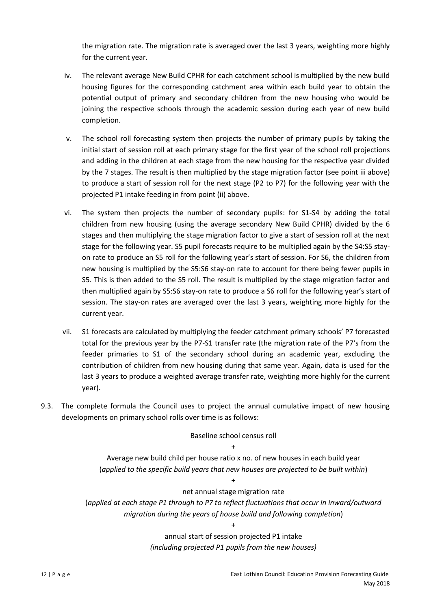the migration rate. The migration rate is averaged over the last 3 years, weighting more highly for the current year.

- iv. The relevant average New Build CPHR for each catchment school is multiplied by the new build housing figures for the corresponding catchment area within each build year to obtain the potential output of primary and secondary children from the new housing who would be joining the respective schools through the academic session during each year of new build completion.
- v. The school roll forecasting system then projects the number of primary pupils by taking the initial start of session roll at each primary stage for the first year of the school roll projections and adding in the children at each stage from the new housing for the respective year divided by the 7 stages. The result is then multiplied by the stage migration factor (see point iii above) to produce a start of session roll for the next stage (P2 to P7) for the following year with the projected P1 intake feeding in from point (ii) above.
- vi. The system then projects the number of secondary pupils: for S1-S4 by adding the total children from new housing (using the average secondary New Build CPHR) divided by the 6 stages and then multiplying the stage migration factor to give a start of session roll at the next stage for the following year. S5 pupil forecasts require to be multiplied again by the S4:S5 stayon rate to produce an S5 roll for the following year's start of session. For S6, the children from new housing is multiplied by the S5:S6 stay-on rate to account for there being fewer pupils in S5. This is then added to the S5 roll. The result is multiplied by the stage migration factor and then multiplied again by S5:S6 stay-on rate to produce a S6 roll for the following year's start of session. The stay-on rates are averaged over the last 3 years, weighting more highly for the current year.
- vii. S1 forecasts are calculated by multiplying the feeder catchment primary schools' P7 forecasted total for the previous year by the P7-S1 transfer rate (the migration rate of the P7's from the feeder primaries to S1 of the secondary school during an academic year, excluding the contribution of children from new housing during that same year. Again, data is used for the last 3 years to produce a weighted average transfer rate, weighting more highly for the current year).
- 9.3. The complete formula the Council uses to project the annual cumulative impact of new housing developments on primary school rolls over time is as follows:

Baseline school census roll +

Average new build child per house ratio x no. of new houses in each build year (*applied to the specific build years that new houses are projected to be built within*)

+

net annual stage migration rate (*applied at each stage P1 through to P7 to reflect fluctuations that occur in inward/outward migration during the years of house build and following completion*)

> annual start of session projected P1 intake *(including projected P1 pupils from the new houses)*

+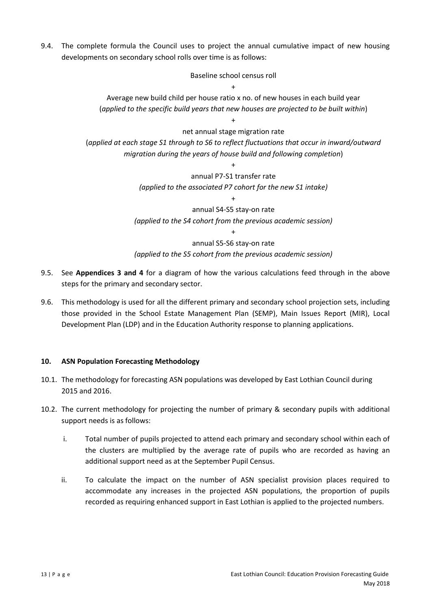9.4. The complete formula the Council uses to project the annual cumulative impact of new housing developments on secondary school rolls over time is as follows:

> Baseline school census roll +

Average new build child per house ratio x no. of new houses in each build year (*applied to the specific build years that new houses are projected to be built within*)

> + net annual stage migration rate

(*applied at each stage S1 through to S6 to reflect fluctuations that occur in inward/outward migration during the years of house build and following completion*)

> + annual P7-S1 transfer rate

*(applied to the associated P7 cohort for the new S1 intake)* +

annual S4-S5 stay-on rate *(applied to the S4 cohort from the previous academic session)*

> + annual S5-S6 stay-on rate

*(applied to the S5 cohort from the previous academic session)*

- 9.5. See **Appendices 3 and 4** for a diagram of how the various calculations feed through in the above steps for the primary and secondary sector.
- 9.6. This methodology is used for all the different primary and secondary school projection sets, including those provided in the School Estate Management Plan (SEMP), Main Issues Report (MIR), Local Development Plan (LDP) and in the Education Authority response to planning applications.

#### **10. ASN Population Forecasting Methodology**

- 10.1. The methodology for forecasting ASN populations was developed by East Lothian Council during 2015 and 2016.
- 10.2. The current methodology for projecting the number of primary & secondary pupils with additional support needs is as follows:
	- i. Total number of pupils projected to attend each primary and secondary school within each of the clusters are multiplied by the average rate of pupils who are recorded as having an additional support need as at the September Pupil Census.
	- ii. To calculate the impact on the number of ASN specialist provision places required to accommodate any increases in the projected ASN populations, the proportion of pupils recorded as requiring enhanced support in East Lothian is applied to the projected numbers.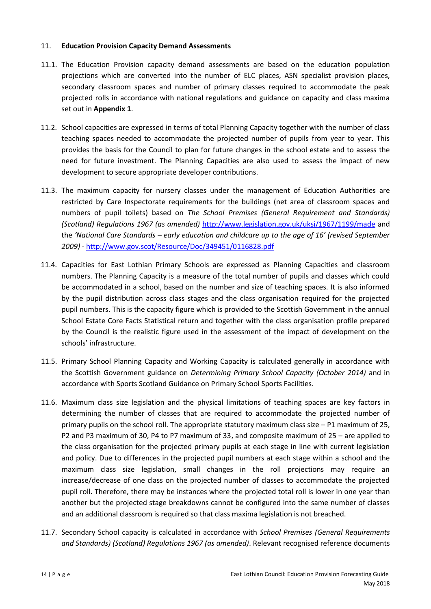#### 11. **Education Provision Capacity Demand Assessments**

- 11.1. The Education Provision capacity demand assessments are based on the education population projections which are converted into the number of ELC places, ASN specialist provision places, secondary classroom spaces and number of primary classes required to accommodate the peak projected rolls in accordance with national regulations and guidance on capacity and class maxima set out in **Appendix 1**.
- 11.2. School capacities are expressed in terms of total Planning Capacity together with the number of class teaching spaces needed to accommodate the projected number of pupils from year to year. This provides the basis for the Council to plan for future changes in the school estate and to assess the need for future investment. The Planning Capacities are also used to assess the impact of new development to secure appropriate developer contributions.
- 11.3. The maximum capacity for nursery classes under the management of Education Authorities are restricted by Care Inspectorate requirements for the buildings (net area of classroom spaces and numbers of pupil toilets) based on *The School Premises (General Requirement and Standards) (Scotland) Regulations 1967 (as amended)* <http://www.legislation.gov.uk/uksi/1967/1199/made> and the *'National Care Standards – early education and childcare up to the age of 16' (revised September 2009)* - <http://www.gov.scot/Resource/Doc/349451/0116828.pdf>
- 11.4. Capacities for East Lothian Primary Schools are expressed as Planning Capacities and classroom numbers. The Planning Capacity is a measure of the total number of pupils and classes which could be accommodated in a school, based on the number and size of teaching spaces. It is also informed by the pupil distribution across class stages and the class organisation required for the projected pupil numbers. This is the capacity figure which is provided to the Scottish Government in the annual School Estate Core Facts Statistical return and together with the class organisation profile prepared by the Council is the realistic figure used in the assessment of the impact of development on the schools' infrastructure.
- 11.5. Primary School Planning Capacity and Working Capacity is calculated generally in accordance with the Scottish Government guidance on *Determining Primary School Capacity (October 2014)* and in accordance with Sports Scotland Guidance on Primary School Sports Facilities.
- 11.6. Maximum class size legislation and the physical limitations of teaching spaces are key factors in determining the number of classes that are required to accommodate the projected number of primary pupils on the school roll. The appropriate statutory maximum class size – P1 maximum of 25, P2 and P3 maximum of 30, P4 to P7 maximum of 33, and composite maximum of 25 – are applied to the class organisation for the projected primary pupils at each stage in line with current legislation and policy. Due to differences in the projected pupil numbers at each stage within a school and the maximum class size legislation, small changes in the roll projections may require an increase/decrease of one class on the projected number of classes to accommodate the projected pupil roll. Therefore, there may be instances where the projected total roll is lower in one year than another but the projected stage breakdowns cannot be configured into the same number of classes and an additional classroom is required so that class maxima legislation is not breached.
- 11.7. Secondary School capacity is calculated in accordance with *School Premises (General Requirements and Standards) (Scotland) Regulations 1967 (as amended)*. Relevant recognised reference documents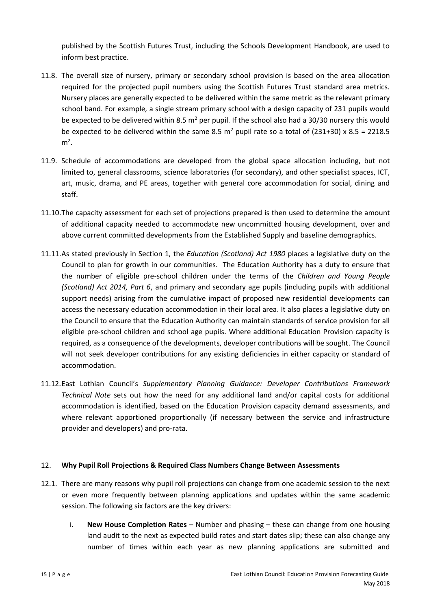published by the Scottish Futures Trust, including the Schools Development Handbook, are used to inform best practice.

- 11.8. The overall size of nursery, primary or secondary school provision is based on the area allocation required for the projected pupil numbers using the Scottish Futures Trust standard area metrics. Nursery places are generally expected to be delivered within the same metric as the relevant primary school band. For example*,* a single stream primary school with a design capacity of 231 pupils would be expected to be delivered within 8.5  $m^2$  per pupil. If the school also had a 30/30 nursery this would be expected to be delivered within the same 8.5  $m^2$  pupil rate so a total of (231+30) x 8.5 = 2218.5  $m<sup>2</sup>$ .
- 11.9. Schedule of accommodations are developed from the global space allocation including, but not limited to, general classrooms, science laboratories (for secondary), and other specialist spaces, ICT, art, music, drama, and PE areas, together with general core accommodation for social, dining and staff.
- 11.10.The capacity assessment for each set of projections prepared is then used to determine the amount of additional capacity needed to accommodate new uncommitted housing development, over and above current committed developments from the Established Supply and baseline demographics.
- 11.11.As stated previously in Section 1, the *Education (Scotland) Act 1980* places a legislative duty on the Council to plan for growth in our communities. The Education Authority has a duty to ensure that the number of eligible pre-school children under the terms of the *Children and Young People (Scotland) Act 2014, Part 6*, and primary and secondary age pupils (including pupils with additional support needs) arising from the cumulative impact of proposed new residential developments can access the necessary education accommodation in their local area. It also places a legislative duty on the Council to ensure that the Education Authority can maintain standards of service provision for all eligible pre-school children and school age pupils. Where additional Education Provision capacity is required, as a consequence of the developments, developer contributions will be sought. The Council will not seek developer contributions for any existing deficiencies in either capacity or standard of accommodation.
- 11.12.East Lothian Council's *Supplementary Planning Guidance: Developer Contributions Framework Technical Note* sets out how the need for any additional land and/or capital costs for additional accommodation is identified, based on the Education Provision capacity demand assessments, and where relevant apportioned proportionally (if necessary between the service and infrastructure provider and developers) and pro-rata.

#### 12. **Why Pupil Roll Projections & Required Class Numbers Change Between Assessments**

- 12.1. There are many reasons why pupil roll projections can change from one academic session to the next or even more frequently between planning applications and updates within the same academic session. The following six factors are the key drivers:
	- i. **New House Completion Rates** Number and phasing these can change from one housing land audit to the next as expected build rates and start dates slip; these can also change any number of times within each year as new planning applications are submitted and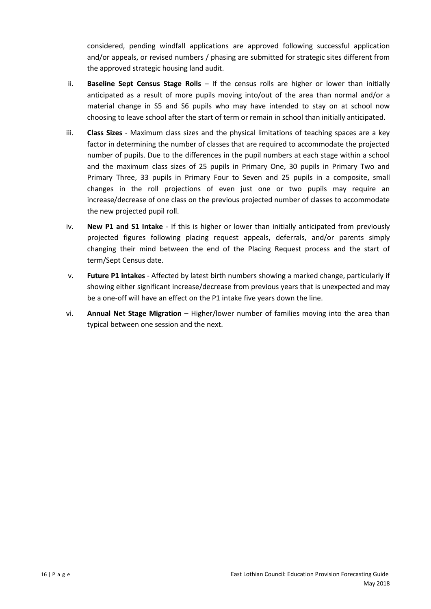considered, pending windfall applications are approved following successful application and/or appeals, or revised numbers / phasing are submitted for strategic sites different from the approved strategic housing land audit.

- ii. **Baseline Sept Census Stage Rolls** If the census rolls are higher or lower than initially anticipated as a result of more pupils moving into/out of the area than normal and/or a material change in S5 and S6 pupils who may have intended to stay on at school now choosing to leave school after the start of term or remain in school than initially anticipated.
- iii. **Class Sizes** Maximum class sizes and the physical limitations of teaching spaces are a key factor in determining the number of classes that are required to accommodate the projected number of pupils. Due to the differences in the pupil numbers at each stage within a school and the maximum class sizes of 25 pupils in Primary One, 30 pupils in Primary Two and Primary Three, 33 pupils in Primary Four to Seven and 25 pupils in a composite, small changes in the roll projections of even just one or two pupils may require an increase/decrease of one class on the previous projected number of classes to accommodate the new projected pupil roll.
- iv. **New P1 and S1 Intake** If this is higher or lower than initially anticipated from previously projected figures following placing request appeals, deferrals, and/or parents simply changing their mind between the end of the Placing Request process and the start of term/Sept Census date.
- v. **Future P1 intakes** Affected by latest birth numbers showing a marked change, particularly if showing either significant increase/decrease from previous years that is unexpected and may be a one-off will have an effect on the P1 intake five years down the line.
- vi. **Annual Net Stage Migration** Higher/lower number of families moving into the area than typical between one session and the next.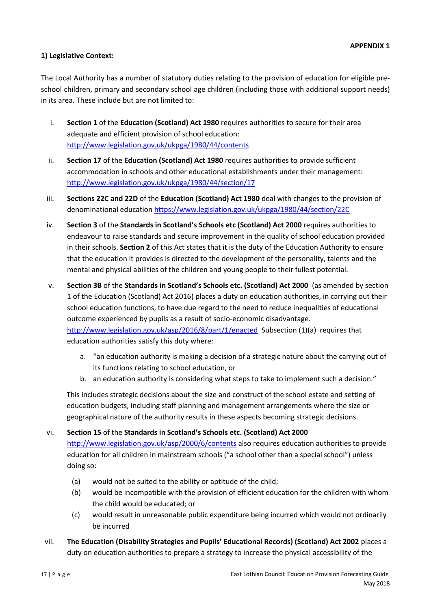#### **1) Legislative Context:**

The Local Authority has a number of statutory duties relating to the provision of education for eligible preschool children, primary and secondary school age children (including those with additional support needs) in its area. These include but are not limited to:

- i. **Section 1** of the **Education (Scotland) Act 1980** requires authorities to secure for their area adequate and efficient provision of school education: <http://www.legislation.gov.uk/ukpga/1980/44/contents>
- ii. **Section 17** of the **Education (Scotland) Act 1980** requires authorities to provide sufficient accommodation in schools and other educational establishments under their management: <http://www.legislation.gov.uk/ukpga/1980/44/section/17>
- iii. **Sections 22C and 22D** of the **Education (Scotland) Act 1980** deal with changes to the provision of denominational education <https://www.legislation.gov.uk/ukpga/1980/44/section/22C>
- iv. **Section 3** of the **Standards in Scotland's Schools etc (Scotland) Act 2000** requires authorities to endeavour to raise standards and secure improvement in the quality of school education provided in their schools. **Section 2** of this Act states that it is the duty of the Education Authority to ensure that the education it provides is directed to the development of the personality, talents and the mental and physical abilities of the children and young people to their fullest potential.
- v. **Section 3B** of the **Standards in Scotland's Schools etc. (Scotland) Act 2000** (as amended by section 1 of the Education (Scotland) Act 2016) places a duty on education authorities, in carrying out their school education functions, to have due regard to the need to reduce inequalities of educational outcome experienced by pupils as a result of socio-economic disadvantage. <http://www.legislation.gov.uk/asp/2016/8/part/1/enacted>Subsection (1)(a) requires that education authorities satisfy this duty where:
	- a. "an education authority is making a decision of a strategic nature about the carrying out of its functions relating to school education, or
	- b. an education authority is considering what steps to take to implement such a decision."

This includes strategic decisions about the size and construct of the school estate and setting of education budgets, including staff planning and management arrangements where the size or geographical nature of the authority results in these aspects becoming strategic decisions.

vi. **Section 15** of the **Standards in Scotland's Schools etc. (Scotland) Act 2000**  <http://www.legislation.gov.uk/asp/2000/6/contents> also requires education authorities to provide education for all children in mainstream schools ("a school other than a special school") unless doing so:

- (a) would not be suited to the ability or aptitude of the child;
- (b) would be incompatible with the provision of efficient education for the children with whom the child would be educated; or
- (c) would result in unreasonable public expenditure being incurred which would not ordinarily be incurred
- vii. **The Education (Disability Strategies and Pupils' Educational Records) (Scotland) Act 2002** places a duty on education authorities to prepare a strategy to increase the physical accessibility of the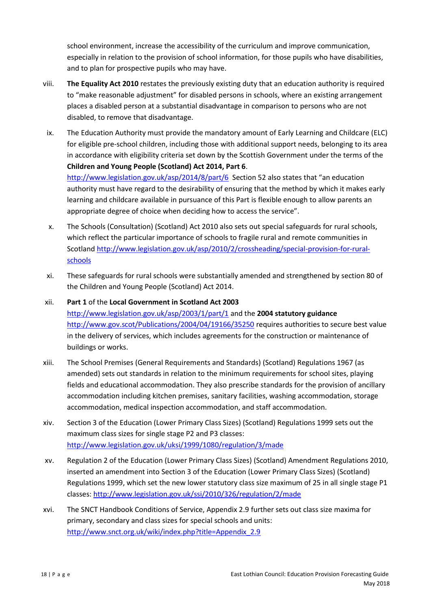school environment, increase the accessibility of the curriculum and improve communication, especially in relation to the provision of school information, for those pupils who have disabilities, and to plan for prospective pupils who may have.

- viii. **The Equality Act 2010** restates the previously existing duty that an education authority is required to "make reasonable adjustment" for disabled persons in schools, where an existing arrangement places a disabled person at a substantial disadvantage in comparison to persons who are not disabled, to remove that disadvantage.
- ix. The Education Authority must provide the mandatory amount of Early Learning and Childcare (ELC) for eligible pre-school children, including those with additional support needs, belonging to its area in accordance with eligibility criteria set down by the Scottish Government under the terms of the **Children and Young People (Scotland) Act 2014, Part 6**. <http://www.legislation.gov.uk/asp/2014/8/part/6>Section 52 also states that "an education

authority must have regard to the desirability of ensuring that the method by which it makes early learning and childcare available in pursuance of this Part is flexible enough to allow parents an appropriate degree of choice when deciding how to access the service".

- x. The Schools (Consultation) (Scotland) Act 2010 also sets out special safeguards for rural schools, which reflect the particular importance of schools to fragile rural and remote communities in Scotlan[d http://www.legislation.gov.uk/asp/2010/2/crossheading/special-provision-for-rural](http://www.legislation.gov.uk/asp/2010/2/crossheading/special-provision-for-rural-schools)[schools](http://www.legislation.gov.uk/asp/2010/2/crossheading/special-provision-for-rural-schools)
- xi. These safeguards for rural schools were substantially amended and strengthened by section 80 of the Children and Young People (Scotland) Act 2014.
- xii. **Part 1** of the **Local Government in Scotland Act 2003** <http://www.legislation.gov.uk/asp/2003/1/part/1> and the **2004 statutory guidance** <http://www.gov.scot/Publications/2004/04/19166/35250> requires authorities to secure best value in the delivery of services, which includes agreements for the construction or maintenance of buildings or works.
- xiii. The School Premises (General Requirements and Standards) (Scotland) Regulations 1967 (as amended) sets out standards in relation to the minimum requirements for school sites, playing fields and educational accommodation. They also prescribe standards for the provision of ancillary accommodation including kitchen premises, sanitary facilities, washing accommodation, storage accommodation, medical inspection accommodation, and staff accommodation.
- xiv. Section 3 of the Education (Lower Primary Class Sizes) (Scotland) Regulations 1999 sets out the maximum class sizes for single stage P2 and P3 classes: <http://www.legislation.gov.uk/uksi/1999/1080/regulation/3/made>
- xv. Regulation 2 of the Education (Lower Primary Class Sizes) (Scotland) Amendment Regulations 2010, inserted an amendment into Section 3 of the Education (Lower Primary Class Sizes) (Scotland) Regulations 1999, which set the new lower statutory class size maximum of 25 in all single stage P1 classes: <http://www.legislation.gov.uk/ssi/2010/326/regulation/2/made>
- xvi. The SNCT Handbook Conditions of Service, Appendix 2.9 further sets out class size maxima for primary, secondary and class sizes for special schools and units: [http://www.snct.org.uk/wiki/index.php?title=Appendix\\_2.9](http://www.snct.org.uk/wiki/index.php?title=Appendix_2.9)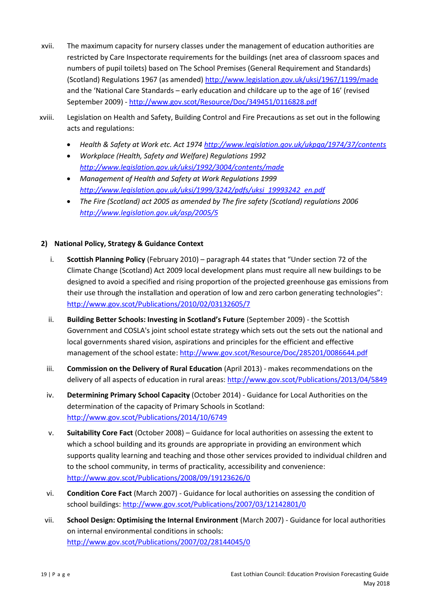- xvii. The maximum capacity for nursery classes under the management of education authorities are restricted by Care Inspectorate requirements for the buildings (net area of classroom spaces and numbers of pupil toilets) based on The School Premises (General Requirement and Standards) (Scotland) Regulations 1967 (as amended[\) http://www.legislation.gov.uk/uksi/1967/1199/made](http://www.legislation.gov.uk/uksi/1967/1199/made)  and the 'National Care Standards – early education and childcare up to the age of 16' (revised September 2009) - <http://www.gov.scot/Resource/Doc/349451/0116828.pdf>
- xviii. Legislation on Health and Safety, Building Control and Fire Precautions as set out in the following acts and regulations:
	- *Health & Safety at Work etc. Act 1974 <http://www.legislation.gov.uk/ukpga/1974/37/contents>*
	- *Workplace (Health, Safety and Welfare) Regulations 1992 <http://www.legislation.gov.uk/uksi/1992/3004/contents/made>*
	- *Management of Health and Safety at Work Regulations 1999 [http://www.legislation.gov.uk/uksi/1999/3242/pdfs/uksi\\_19993242\\_en.pdf](http://www.legislation.gov.uk/uksi/1999/3242/pdfs/uksi_19993242_en.pdf)*
	- *The Fire (Scotland) act 2005 as amended by The fire safety (Scotland) regulations 2006 <http://www.legislation.gov.uk/asp/2005/5>*

#### **2) National Policy, Strategy & Guidance Context**

- i. **Scottish Planning Policy** (February 2010) paragraph 44 states that "Under section 72 of the Climate Change (Scotland) Act 2009 local development plans must require all new buildings to be designed to avoid a specified and rising proportion of the projected greenhouse gas emissions from their use through the installation and operation of low and zero carbon generating technologies": <http://www.gov.scot/Publications/2010/02/03132605/7>
- ii. **Building Better Schools: Investing in Scotland's Future** (September 2009) the Scottish Government and COSLA's joint school estate strategy which sets out the sets out the national and local governments shared vision, aspirations and principles for the efficient and effective management of the school estate: <http://www.gov.scot/Resource/Doc/285201/0086644.pdf>
- iii. **Commission on the Delivery of Rural Education** (April 2013) makes recommendations on the delivery of all aspects of education in rural areas: <http://www.gov.scot/Publications/2013/04/5849>
- iv. **Determining Primary School Capacity** (October 2014) Guidance for Local Authorities on the determination of the capacity of Primary Schools in Scotland: <http://www.gov.scot/Publications/2014/10/6749>
- v. **Suitability Core Fact** (October 2008) Guidance for local authorities on assessing the extent to which a school building and its grounds are appropriate in providing an environment which supports quality learning and teaching and those other services provided to individual children and to the school community, in terms of practicality, accessibility and convenience: <http://www.gov.scot/Publications/2008/09/19123626/0>
- vi. **Condition Core Fact** (March 2007) Guidance for local authorities on assessing the condition of school buildings[: http://www.gov.scot/Publications/2007/03/12142801/0](http://www.gov.scot/Publications/2007/03/12142801/0)
- vii. **School Design: Optimising the Internal Environment** (March 2007) Guidance for local authorities on internal environmental conditions in schools: <http://www.gov.scot/Publications/2007/02/28144045/0>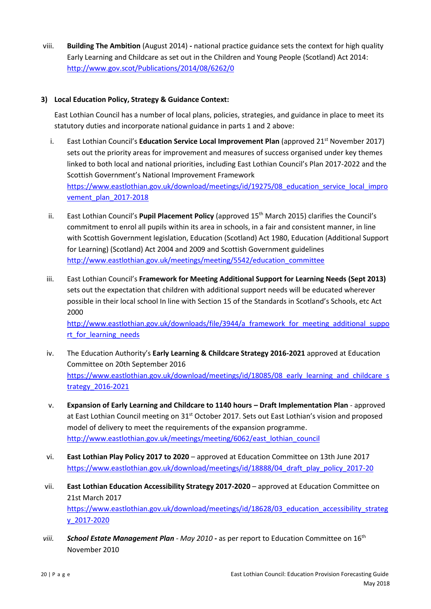viii. **Building The Ambition** (August 2014) **-** national practice guidance sets the context for high quality Early Learning and Childcare as set out in the Children and Young People (Scotland) Act 2014: <http://www.gov.scot/Publications/2014/08/6262/0>

#### **3) Local Education Policy, Strategy & Guidance Context:**

[rt\\_for\\_learning\\_needs](http://www.eastlothian.gov.uk/downloads/file/3944/a_framework_for_meeting_additional_support_for_learning_needs)

[trategy\\_2016-2021](https://www.eastlothian.gov.uk/download/meetings/id/18085/08_early_learning_and_childcare_strategy_2016-2021)

East Lothian Council has a number of local plans, policies, strategies, and guidance in place to meet its statutory duties and incorporate national guidance in parts 1 and 2 above:

- i. East Lothian Council's **Education Service Local Improvement Plan** (approved 21<sup>st</sup> November 2017) sets out the priority areas for improvement and measures of success organised under key themes linked to both local and national priorities, including East Lothian Council's Plan 2017-2022 and the Scottish Government's National Improvement Framework [https://www.eastlothian.gov.uk/download/meetings/id/19275/08\\_education\\_service\\_local\\_impro](https://www.eastlothian.gov.uk/download/meetings/id/19275/08_education_service_local_improvement_plan_2017-2018) [vement\\_plan\\_2017-2018](https://www.eastlothian.gov.uk/download/meetings/id/19275/08_education_service_local_improvement_plan_2017-2018)
- ii. East Lothian Council's **Pupil Placement Policy** (approved 15th March 2015) clarifies the Council's commitment to enrol all pupils within its area in schools, in a fair and consistent manner, in line with Scottish Government legislation, Education (Scotland) Act 1980, Education (Additional Support for Learning) (Scotland) Act 2004 and 2009 and Scottish Government guidelines [http://www.eastlothian.gov.uk/meetings/meeting/5542/education\\_committee](http://www.eastlothian.gov.uk/meetings/meeting/5542/education_committee)
- iii. East Lothian Council's **Framework for Meeting Additional Support for Learning Needs (Sept 2013)**  sets out the expectation that children with additional support needs will be educated wherever possible in their local school In line with Section 15 of the Standards in Scotland's Schools, etc Act 2000 http://www.eastlothian.gov.uk/downloads/file/3944/a framework for meeting additional suppo
- iv. The Education Authority's **Early Learning & Childcare Strategy 2016-2021** approved at Education Committee on 20th September 2016 [https://www.eastlothian.gov.uk/download/meetings/id/18085/08\\_early\\_learning\\_and\\_childcare\\_s](https://www.eastlothian.gov.uk/download/meetings/id/18085/08_early_learning_and_childcare_strategy_2016-2021)
- v. **Expansion of Early Learning and Childcare to 1140 hours – Draft Implementation Plan** approved at East Lothian Council meeting on 31<sup>st</sup> October 2017. Sets out East Lothian's vision and proposed model of delivery to meet the requirements of the expansion programme. [http://www.eastlothian.gov.uk/meetings/meeting/6062/east\\_lothian\\_council](http://www.eastlothian.gov.uk/meetings/meeting/6062/east_lothian_council)
- vi. **East Lothian Play Policy 2017 to 2020** approved at Education Committee on 13th June 2017 [https://www.eastlothian.gov.uk/download/meetings/id/18888/04\\_draft\\_play\\_policy\\_2017-20](https://www.eastlothian.gov.uk/download/meetings/id/18888/04_draft_play_policy_2017-20)
- vii. **East Lothian Education Accessibility Strategy 2017-2020** approved at Education Committee on 21st March 2017 [https://www.eastlothian.gov.uk/download/meetings/id/18628/03\\_education\\_accessibility\\_strateg](https://www.eastlothian.gov.uk/download/meetings/id/18628/03_education_accessibility_strategy_2017-2020) [y\\_2017-2020](https://www.eastlothian.gov.uk/download/meetings/id/18628/03_education_accessibility_strategy_2017-2020)
- *viii. School Estate Management Plan - May 2010 -* as per report to Education Committee on 16th November 2010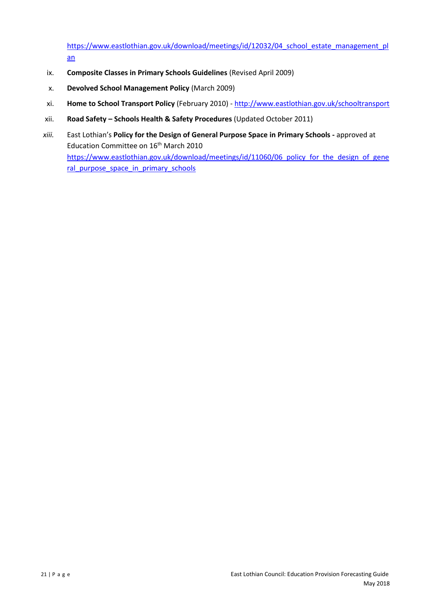[https://www.eastlothian.gov.uk/download/meetings/id/12032/04\\_school\\_estate\\_management\\_pl](https://www.eastlothian.gov.uk/download/meetings/id/12032/04_school_estate_management_plan) [an](https://www.eastlothian.gov.uk/download/meetings/id/12032/04_school_estate_management_plan)

- ix. **Composite Classes in Primary Schools Guidelines** (Revised April 2009)
- x. **Devolved School Management Policy** (March 2009)
- xi. **Home to School Transport Policy** (February 2010) <http://www.eastlothian.gov.uk/schooltransport>
- xii. **Road Safety – Schools Health & Safety Procedures** (Updated October 2011)
- *xiii.* East Lothian's **Policy for the Design of General Purpose Space in Primary Schools -** approved at Education Committee on 16<sup>th</sup> March 2010 https://www.eastlothian.gov.uk/download/meetings/id/11060/06 policy for the design of gene [ral\\_purpose\\_space\\_in\\_primary\\_schools](https://www.eastlothian.gov.uk/download/meetings/id/11060/06_policy_for_the_design_of_general_purpose_space_in_primary_schools)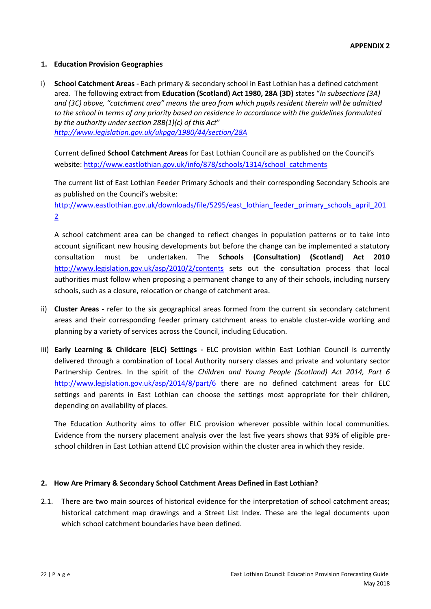#### **1. Education Provision Geographies**

i) **School Catchment Areas -** Each primary & secondary school in East Lothian has a defined catchment area. The following extract from **Education (Scotland) Act 1980, 28A (3D)** states "*In subsections (3A) and (3C) above, "catchment area" means the area from which pupils resident therein will be admitted to the school in terms of any priority based on residence in accordance with the guidelines formulated by the authority under section 28B(1)(c) of this Act*" *<http://www.legislation.gov.uk/ukpga/1980/44/section/28A>*

Current defined **School Catchment Areas** for East Lothian Council are as published on the Council's website[: http://www.eastlothian.gov.uk/info/878/schools/1314/school\\_catchments](http://www.eastlothian.gov.uk/info/878/schools/1314/school_catchments)

The current list of East Lothian Feeder Primary Schools and their corresponding Secondary Schools are as published on the Council's website:

[http://www.eastlothian.gov.uk/downloads/file/5295/east\\_lothian\\_feeder\\_primary\\_schools\\_april\\_201](http://www.eastlothian.gov.uk/downloads/file/5295/east_lothian_feeder_primary_schools_april_2012) [2](http://www.eastlothian.gov.uk/downloads/file/5295/east_lothian_feeder_primary_schools_april_2012)

A school catchment area can be changed to reflect changes in population patterns or to take into account significant new housing developments but before the change can be implemented a statutory consultation must be undertaken. The **Schools (Consultation) (Scotland) Act 2010**  <http://www.legislation.gov.uk/asp/2010/2/contents> sets out the consultation process that local authorities must follow when proposing a permanent change to any of their schools, including nursery schools, such as a closure, relocation or change of catchment area.

- ii) **Cluster Areas -** refer to the six geographical areas formed from the current six secondary catchment areas and their corresponding feeder primary catchment areas to enable cluster-wide working and planning by a variety of services across the Council, including Education.
- iii) **Early Learning & Childcare (ELC) Settings -** ELC provision within East Lothian Council is currently delivered through a combination of Local Authority nursery classes and private and voluntary sector Partnership Centres. In the spirit of the *Children and Young People (Scotland) Act 2014, Part 6*  <http://www.legislation.gov.uk/asp/2014/8/part/6> there are no defined catchment areas for ELC settings and parents in East Lothian can choose the settings most appropriate for their children, depending on availability of places.

The Education Authority aims to offer ELC provision wherever possible within local communities. Evidence from the nursery placement analysis over the last five years shows that 93% of eligible preschool children in East Lothian attend ELC provision within the cluster area in which they reside.

#### **2. How Are Primary & Secondary School Catchment Areas Defined in East Lothian?**

2.1. There are two main sources of historical evidence for the interpretation of school catchment areas; historical catchment map drawings and a Street List Index. These are the legal documents upon which school catchment boundaries have been defined.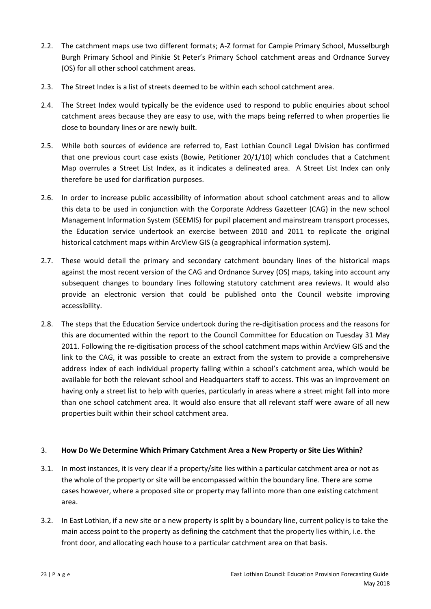- 2.2. The catchment maps use two different formats; A-Z format for Campie Primary School, Musselburgh Burgh Primary School and Pinkie St Peter's Primary School catchment areas and Ordnance Survey (OS) for all other school catchment areas.
- 2.3. The Street Index is a list of streets deemed to be within each school catchment area.
- 2.4. The Street Index would typically be the evidence used to respond to public enquiries about school catchment areas because they are easy to use, with the maps being referred to when properties lie close to boundary lines or are newly built.
- 2.5. While both sources of evidence are referred to, East Lothian Council Legal Division has confirmed that one previous court case exists (Bowie, Petitioner 20/1/10) which concludes that a Catchment Map overrules a Street List Index, as it indicates a delineated area. A Street List Index can only therefore be used for clarification purposes.
- 2.6. In order to increase public accessibility of information about school catchment areas and to allow this data to be used in conjunction with the Corporate Address Gazetteer (CAG) in the new school Management Information System (SEEMIS) for pupil placement and mainstream transport processes, the Education service undertook an exercise between 2010 and 2011 to replicate the original historical catchment maps within ArcView GIS (a geographical information system).
- 2.7. These would detail the primary and secondary catchment boundary lines of the historical maps against the most recent version of the CAG and Ordnance Survey (OS) maps, taking into account any subsequent changes to boundary lines following statutory catchment area reviews. It would also provide an electronic version that could be published onto the Council website improving accessibility.
- 2.8. The steps that the Education Service undertook during the re-digitisation process and the reasons for this are documented within the report to the Council Committee for Education on Tuesday 31 May 2011. Following the re-digitisation process of the school catchment maps within ArcView GIS and the link to the CAG, it was possible to create an extract from the system to provide a comprehensive address index of each individual property falling within a school's catchment area, which would be available for both the relevant school and Headquarters staff to access. This was an improvement on having only a street list to help with queries, particularly in areas where a street might fall into more than one school catchment area. It would also ensure that all relevant staff were aware of all new properties built within their school catchment area.

#### 3. **How Do We Determine Which Primary Catchment Area a New Property or Site Lies Within?**

- 3.1. In most instances, it is very clear if a property/site lies within a particular catchment area or not as the whole of the property or site will be encompassed within the boundary line. There are some cases however, where a proposed site or property may fall into more than one existing catchment area.
- 3.2. In East Lothian, if a new site or a new property is split by a boundary line, current policy is to take the main access point to the property as defining the catchment that the property lies within, i.e. the front door, and allocating each house to a particular catchment area on that basis.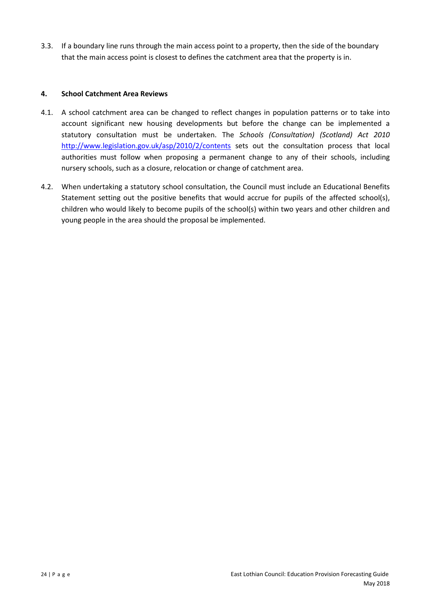3.3. If a boundary line runs through the main access point to a property, then the side of the boundary that the main access point is closest to defines the catchment area that the property is in.

#### **4. School Catchment Area Reviews**

- 4.1. A school catchment area can be changed to reflect changes in population patterns or to take into account significant new housing developments but before the change can be implemented a statutory consultation must be undertaken. The *Schools (Consultation) (Scotland) Act 2010*  <http://www.legislation.gov.uk/asp/2010/2/contents> sets out the consultation process that local authorities must follow when proposing a permanent change to any of their schools, including nursery schools, such as a closure, relocation or change of catchment area.
- 4.2. When undertaking a statutory school consultation, the Council must include an Educational Benefits Statement setting out the positive benefits that would accrue for pupils of the affected school(s), children who would likely to become pupils of the school(s) within two years and other children and young people in the area should the proposal be implemented.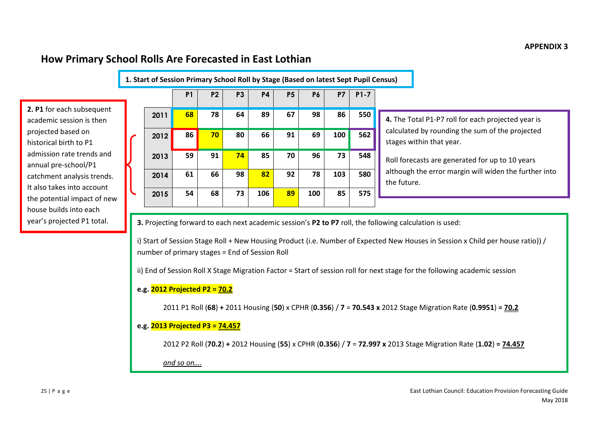#### **APPENDIX 3**

# **How Primary School Rolls Are Forecasted in East Lothian**

**2. P1** for each subsequent academic session is then projected based on historical birth to P1 admission rate trends and annual pre-school/P1 catchment analysis trends. It also takes into account the potential impact of new house builds into each

| 1. Start of Session Primary School Roll by Stage (Based on latest Sept Pupil Census) |  |      |                |                |                |           |           |           |           |          |                                                                                                                                                           |  |
|--------------------------------------------------------------------------------------|--|------|----------------|----------------|----------------|-----------|-----------|-----------|-----------|----------|-----------------------------------------------------------------------------------------------------------------------------------------------------------|--|
|                                                                                      |  |      | P <sub>1</sub> | P <sub>2</sub> | P <sub>3</sub> | <b>P4</b> | <b>P5</b> | <b>P6</b> | <b>P7</b> | $P1 - 7$ |                                                                                                                                                           |  |
|                                                                                      |  | 2011 | 68             | 78             | 64             | 89        | 67        | 98        | 86        | 550      | 4. The Total P1-P7 roll fo<br>calculated by rounding t<br>stages within that year.<br>Roll forecasts are genera<br>although the error marg<br>the future. |  |
|                                                                                      |  | 2012 | 86             | 70             | 80             | 66        | 91        | 69        | 100       | 562      |                                                                                                                                                           |  |
|                                                                                      |  | 2013 | 59             | 91             | 74             | 85        | 70        | 96        | 73        | 548      |                                                                                                                                                           |  |
|                                                                                      |  | 2014 | 61             | 66             | 98             | 82        | 92        | 78        | 103       | 580      |                                                                                                                                                           |  |
|                                                                                      |  | 2015 | 54             | 68             | 73             | 106       | 89        | 100       | 85        | 575      |                                                                                                                                                           |  |

**4.** The Total P1-P7 roll for each projected year is the sum of the projected

ated for up to 10 years in will widen the further into

year's projected P1 total. **3.** Projecting forward to each next academic session's **P2 to P7** roll, the following calculation is used:

i) Start of Session Stage Roll + New Housing Product (i.e. Number of Expected New Houses in Session x Child per house ratio)) / number of primary stages = End of Session Roll

ii) End of Session Roll X Stage Migration Factor = Start of session roll for next stage for the following academic session

#### **e.g. 2012 Projected P2 = 70.2**

2011 P1 Roll (**68**) **+** 2011 Housing (**50**) x CPHR (**0.356**) / **7** = **70.543 x** 2012 Stage Migration Rate (**0.9951**) **= 70.2**

#### **e.g. 2013 Projected P3 = 74.457**

2012 P2 Roll (**70.2**) **+** 2012 Housing (**55**) x CPHR (**0.356**) / **7** = **72.997 x** 2013 Stage Migration Rate (**1.02**) **= 74.457**

*and so on….*